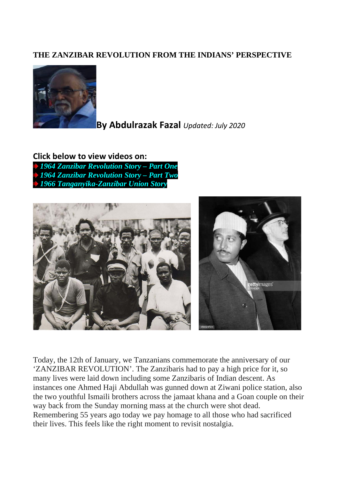#### **THE ZANZIBAR REVOLUTION FROM THE INDIANS' PERSPECTIVE**



# **By Abdulrazak Fazal** *Updated: July 2020*

**Click below to view videos on:** *[1964 Zanzibar Revolution Story –](http://www.dewani.ca/Zbar%20videos/12ZbarElection1963video.mp4) Part One [1964 Zanzibar Revolution Story –](http://www.dewani.ca/Zbar%20videos/VIDEO-2020-06-18-05-09-01.mp4) Part Two [1966 Tanganyika-Zanzibar Union Story](http://www.dewani.ca/video/zanzibar/TanZanUnion.mp4)*



Today, the 12th of January, we Tanzanians commemorate the anniversary of our 'ZANZIBAR REVOLUTION'. The Zanzibaris had to pay a high price for it, so many lives were laid down including some Zanzibaris of Indian descent. As instances one Ahmed Haji Abdullah was gunned down at Ziwani police station, also the two youthful Ismaili brothers across the jamaat khana and a Goan couple on their way back from the Sunday morning mass at the church were shot dead. Remembering 55 years ago today we pay homage to all those who had sacrificed their lives. This feels like the right moment to revisit nostalgia.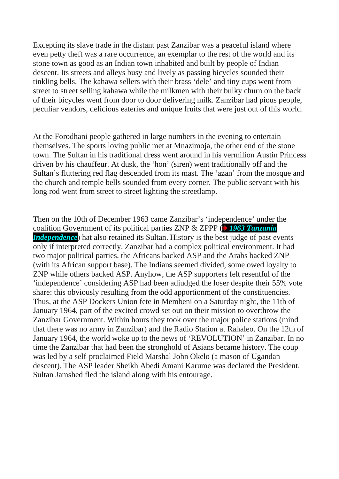Excepting its slave trade in the distant past Zanzibar was a peaceful island where even petty theft was a rare occurrence, an exemplar to the rest of the world and its stone town as good as an Indian town inhabited and built by people of Indian descent. Its streets and alleys busy and lively as passing bicycles sounded their tinkling bells. The kahawa sellers with their brass 'dele' and tiny cups went from street to street selling kahawa while the milkmen with their bulky churn on the back of their bicycles went from door to door delivering milk. Zanzibar had pious people, peculiar vendors, delicious eateries and unique fruits that were just out of this world.

At the Forodhani people gathered in large numbers in the evening to entertain themselves. The sports loving public met at Mnazimoja, the other end of the stone town. The Sultan in his traditional dress went around in his vermilion Austin Princess driven by his chauffeur. At dusk, the 'hon' (siren) went traditionally off and the Sultan's fluttering red flag descended from its mast. The 'azan' from the mosque and the church and temple bells sounded from every corner. The public servant with his long rod went from street to street lighting the streetlamp.

Then on the 10th of December 1963 came Zanzibar's 'independence' under the coalition Government of its political parties ZNP & ZPPP ( *[1963 Tanzania](http://www.dewani.ca/2020NEW/AF/TanzaniaIndep.pdf)  [Independence](http://www.dewani.ca/2020NEW/AF/TanzaniaIndep.pdf)*) hat also retained its Sultan. History is the best judge of past events only if interpreted correctly. Zanzibar had a complex political environment. It had two major political parties, the Africans backed ASP and the Arabs backed ZNP (with its African support base). The Indians seemed divided, some owed loyalty to ZNP while others backed ASP. Anyhow, the ASP supporters felt resentful of the 'independence' considering ASP had been adjudged the loser despite their 55% vote share: this obviously resulting from the odd apportionment of the constituencies. Thus, at the ASP Dockers Union fete in Membeni on a Saturday night, the 11th of January 1964, part of the excited crowd set out on their mission to overthrow the Zanzibar Government. Within hours they took over the major police stations (mind that there was no army in Zanzibar) and the Radio Station at Rahaleo. On the 12th of January 1964, the world woke up to the news of 'REVOLUTION' in Zanzibar. In no time the Zanzibar that had been the stronghold of Asians became history. The coup was led by a self-proclaimed Field Marshal John Okelo (a mason of Ugandan descent). The ASP leader Sheikh Abedi Amani Karume was declared the President. Sultan Jamshed fled the island along with his entourage.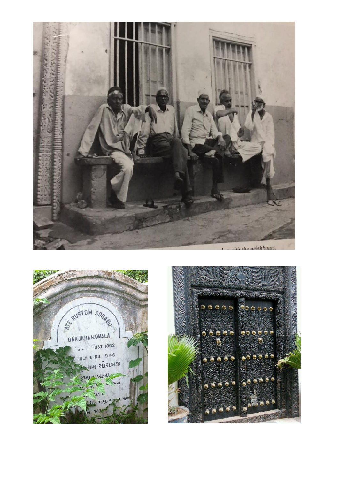

**ENISTOM SORAGE** AW DAR JKHANAWALA 3 L UST 1892 0 H A RIL 1946 स्थितम सोशलछ રૂખાનાવાલા **u** Hol Pox close  $\frac{1}{20}$  291 ada nor en  $1 - 6$ 

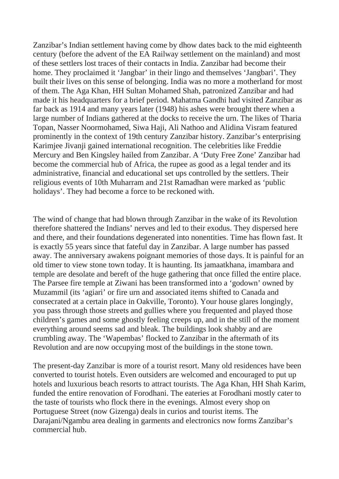Zanzibar's Indian settlement having come by dhow dates back to the mid eighteenth century (before the advent of the EA Railway settlement on the mainland) and most of these settlers lost traces of their contacts in India. Zanzibar had become their home. They proclaimed it 'Jangbar' in their lingo and themselves 'Jangbari'. They built their lives on this sense of belonging. India was no more a motherland for most of them. The Aga Khan, HH Sultan Mohamed Shah, patronized Zanzibar and had made it his headquarters for a brief period. Mahatma Gandhi had visited Zanzibar as far back as 1914 and many years later (1948) his ashes were brought there when a large number of Indians gathered at the docks to receive the urn. The likes of Tharia Topan, Nasser Noormohamed, Siwa Haji, Ali Nathoo and Alidina Visram featured prominently in the context of 19th century Zanzibar history. Zanzibar's enterprising Karimjee Jivanji gained international recognition. The celebrities like Freddie Mercury and Ben Kingsley hailed from Zanzibar. A 'Duty Free Zone' Zanzibar had become the commercial hub of Africa, the rupee as good as a legal tender and its administrative, financial and educational set ups controlled by the settlers. Their religious events of 10th Muharram and 21st Ramadhan were marked as 'public holidays'. They had become a force to be reckoned with.

The wind of change that had blown through Zanzibar in the wake of its Revolution therefore shattered the Indians' nerves and led to their exodus. They dispersed here and there, and their foundations degenerated into nonentities. Time has flown fast. It is exactly 55 years since that fateful day in Zanzibar. A large number has passed away. The anniversary awakens poignant memories of those days. It is painful for an old timer to view stone town today. It is haunting. Its jamaatkhana, imambara and temple are desolate and bereft of the huge gathering that once filled the entire place. The Parsee fire temple at Ziwani has been transformed into a 'godown' owned by Muzammil (its 'agiari' or fire urn and associated items shifted to Canada and consecrated at a certain place in Oakville, Toronto). Your house glares longingly, you pass through those streets and gullies where you frequented and played those children's games and some ghostly feeling creeps up, and in the still of the moment everything around seems sad and bleak. The buildings look shabby and are crumbling away. The 'Wapembas' flocked to Zanzibar in the aftermath of its Revolution and are now occupying most of the buildings in the stone town.

The present-day Zanzibar is more of a tourist resort. Many old residences have been converted to tourist hotels. Even outsiders are welcomed and encouraged to put up hotels and luxurious beach resorts to attract tourists. The Aga Khan, HH Shah Karim, funded the entire renovation of Forodhani. The eateries at Forodhani mostly cater to the taste of tourists who flock there in the evenings. Almost every shop on Portuguese Street (now Gizenga) deals in curios and tourist items. The Darajani/Ngambu area dealing in garments and electronics now forms Zanzibar's commercial hub.